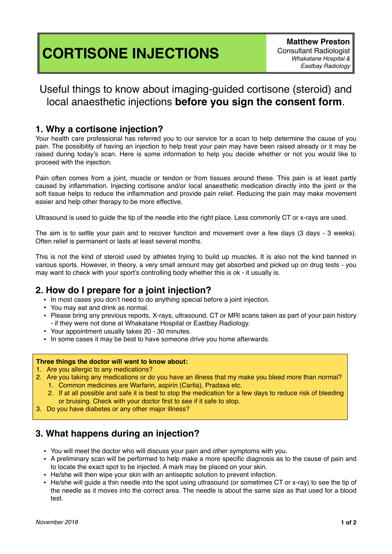# **CORTISONE INJECTIONS**

## Useful things to know about imaging-guided cortisone (steroid) and local anaesthetic injections **before you sign the consent form**.

#### **1. Why a cortisone injection?**

Your health care professional has referred you to our service for a scan to help determine the cause of you pain. The possibility of having an injection to help treat your pain may have been raised already or it may be raised during today's scan. Here is some information to help you decide whether or not you would like to proceed with the injection.

Pain often comes from a joint, muscle or tendon or from tissues around these. This pain is at least partly caused by inflammation. Injecting cortisone and/or local anaesthetic medication directly into the joint or the soft tissue helps to reduce the inflammation and provide pain relief. Reducing the pain may make movement easier and help other therapy to be more effective.

Ultrasound is used to guide the tip of the needle into the right place. Less commonly CT or x-rays are used.

The aim is to settle your pain and to recover function and movement over a few days (3 days - 3 weeks). Often relief is permanent or lasts at least several months.

This is not the kind of steroid used by athletes trying to build up muscles. It is also not the kind banned in various sports. However, in theory, a very small amount may get absorbed and picked up on drug tests - you may want to check with your sport's controlling body whether this is ok - it usually is.

### **2. How do I prepare for a joint injection?**

- In most cases you don't need to do anything special before a joint injection.
- You may eat and drink as normal.
- Please bring any previous reports, X-rays, ultrasound, CT or MRI scans taken as part of your pain history - if they were not done at Whakatane Hospital or Eastbay Radiology.
- Your appointment usually takes 20 30 minutes.
- In some cases it may be best to have someone drive you home afterwards.

#### **Three things the doctor will want to know about:**

- 1. Are you allergic to any medications?
- 2. Are you taking any medications or do you have an illness that my make you bleed more than normal?
	- 1. Common medicines are Warfarin, aspirin (Cartia), Pradaxa etc.
		- 2. If at all possible and safe it is best to stop the medication for a few days to reduce risk of bleeding or bruising. Check with your doctor first to see if it safe to stop.
- 3. Do you have diabetes or any other major illness?

## **3. What happens during an injection?**

- You will meet the doctor who will discuss your pain and other symptoms with you.
- A preliminary scan will be performed to help make a more specific diagnosis as to the cause of pain and to locate the exact spot to be injected. A mark may be placed on your skin.
- He/she will then wipe your skin with an antiseptic solution to prevent infection.
- He/she will guide a thin needle into the spot using ultrasound (or sometimes CT or x-ray) to see the tip of the needle as it moves into the correct area. The needle is about the same size as that used for a blood test.